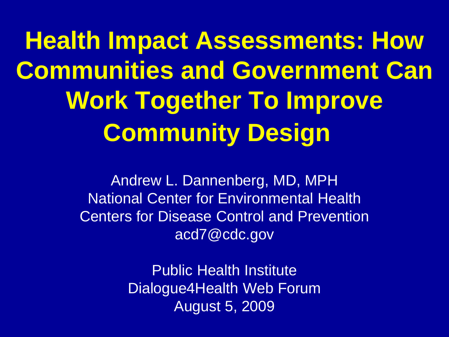**Health Impact Assessments: How Communities and Government Can Work Together To Improve Community Design**

> Andrew L. Dannenberg, MD, MPH National Center for Environmental Health Centers for Disease Control and Prevention acd7@cdc.gov

> > Public Health Institute Dialogue4Health Web Forum August 5, 2009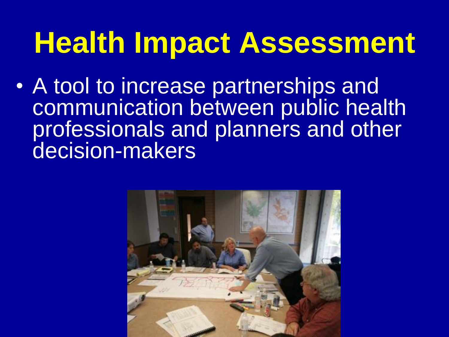## **Health Impact Assessment**

• A tool to increase partnerships and communication between public health professionals and planners and other decision-makers

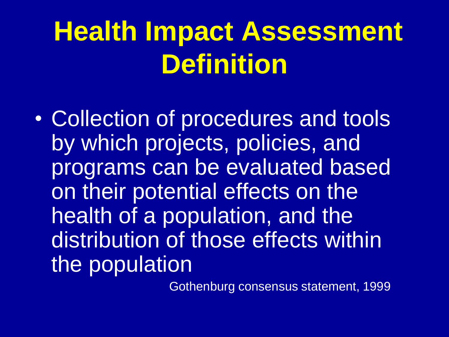## **Health Impact Assessment Definition**

• Collection of procedures and tools by which projects, policies, and programs can be evaluated based on their potential effects on the health of a population, and the distribution of those effects within the population

Gothenburg consensus statement, 1999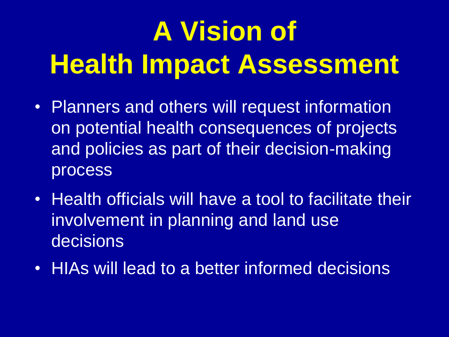# **A Vision of Health Impact Assessment**

- Planners and others will request information on potential health consequences of projects and policies as part of their decision-making process
- Health officials will have a tool to facilitate their involvement in planning and land use decisions
- HIAs will lead to a better informed decisions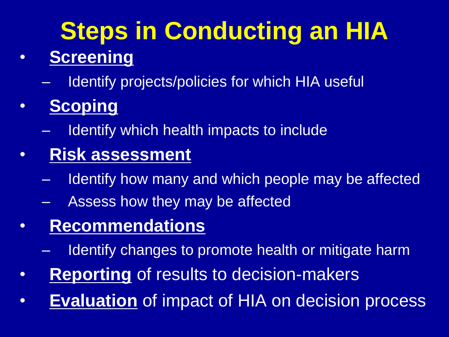## **Steps in Conducting an HIA**

#### • **Screening**

Identify projects/policies for which HIA useful

#### • **Scoping**

- Identify which health impacts to include
- **Risk assessment**
	- Identify how many and which people may be affected
	- Assess how they may be affected

#### • **Recommendations**

- Identify changes to promote health or mitigate harm
- **Reporting** of results to decision-makers
- **Evaluation** of impact of HIA on decision process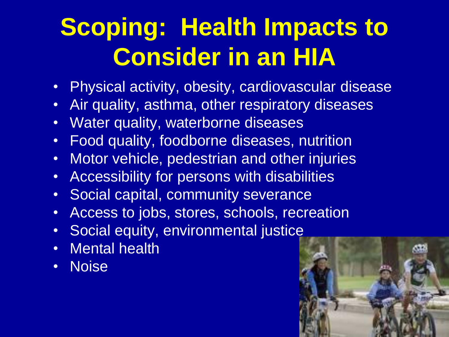### **Scoping: Health Impacts to Consider in an HIA**

- Physical activity, obesity, cardiovascular disease
- Air quality, asthma, other respiratory diseases
- Water quality, waterborne diseases
- Food quality, foodborne diseases, nutrition
- Motor vehicle, pedestrian and other injuries
- Accessibility for persons with disabilities
- Social capital, community severance
- Access to jobs, stores, schools, recreation
- Social equity, environmental justic[e](http://images.google.com/imgres?imgurl=http://www.dianesabba.com/Photography/5%2520Long%2520Beach%2520Marathon,%2520California%25202004/03%2520Family%2520Bicycling.jpg&imgrefurl=http://www.dianesabba.com/photography.pl?dir=Photography/5%2520Long%2520Beach%2520Marathon,%2520California%25202004&usg=__HaQn_xH-lI9Au4iQUbn_Dt_Qwmg=&h=633&w=950&sz=441&hl=en&start=6&tbnid=t2ikZeWtuTdOlM:&tbnh=99&tbnw=148&prev=/images?q=bicycling&gbv=2&hl=en)
- Mental health
- Noise

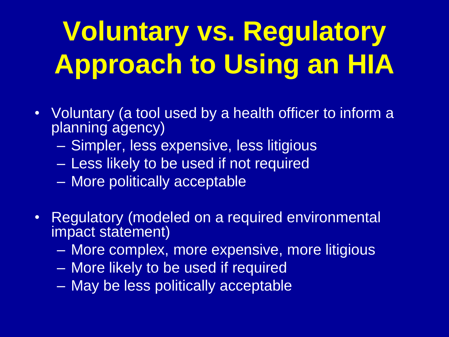# **Voluntary vs. Regulatory Approach to Using an HIA**

- Voluntary (a tool used by a health officer to inform a planning agency)
	- Simpler, less expensive, less litigious
	- Less likely to be used if not required
	- More politically acceptable
- Regulatory (modeled on a required environmental impact statement)
	- More complex, more expensive, more litigious
	- More likely to be used if required
	- May be less politically acceptable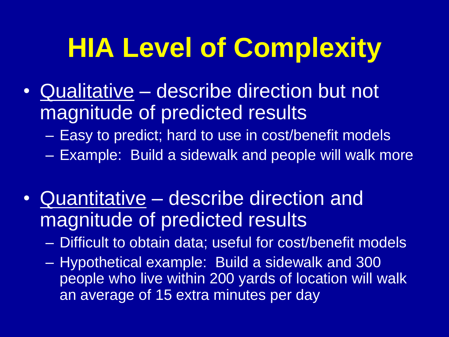## **HIA Level of Complexity**

- Qualitative describe direction but not magnitude of predicted results
	- Easy to predict; hard to use in cost/benefit models
	- Example: Build a sidewalk and people will walk more
- Quantitative describe direction and magnitude of predicted results
	- Difficult to obtain data; useful for cost/benefit models
	- Hypothetical example: Build a sidewalk and 300 people who live within 200 yards of location will walk an average of 15 extra minutes per day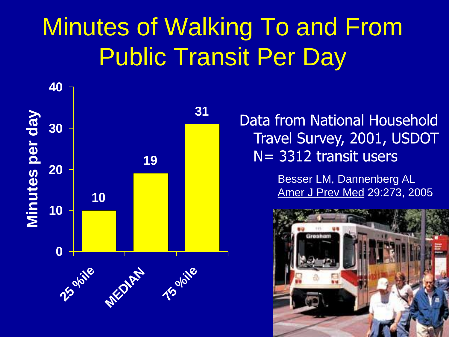### Minutes of Walking To and From Public Transit Per Day



Data from National Household Travel Survey, 2001, USDOT N= 3312 transit users

> Besser LM, Dannenberg AL Amer J Prev Med 29:273, 2005

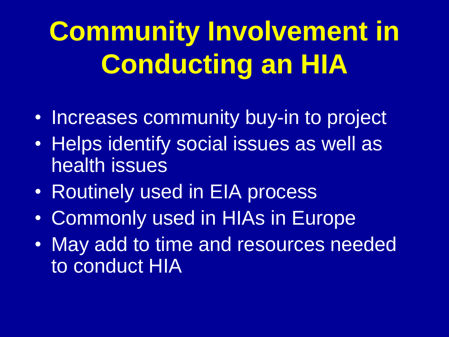# **Community Involvement in Conducting an HIA**

- Increases community buy-in to project
- Helps identify social issues as well as health issues
- Routinely used in EIA process
- Commonly used in HIAs in Europe
- May add to time and resources needed to conduct HIA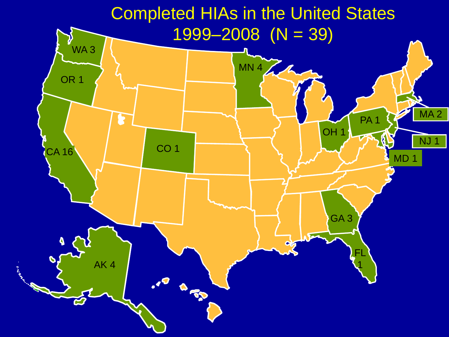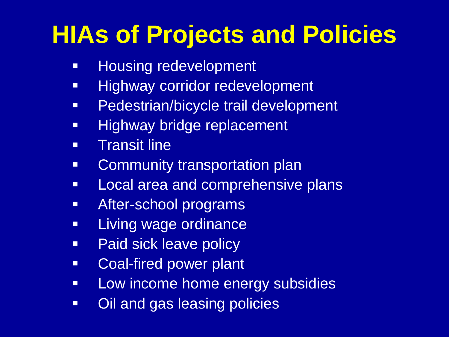### **HIAs of Projects and Policies**

- **Housing redevelopment**
- **Highway corridor redevelopment**
- **Pedestrian/bicycle trail development**
- **Highway bridge replacement**
- **Transit line**
- **EXEDENT Community transportation plan**
- **Local area and comprehensive plans**
- **After-school programs**
- **-** Living wage ordinance
- **Paid sick leave policy**
- **EXECOAL-fired power plant**
- **-** Low income home energy subsidies
- Oil and gas leasing policies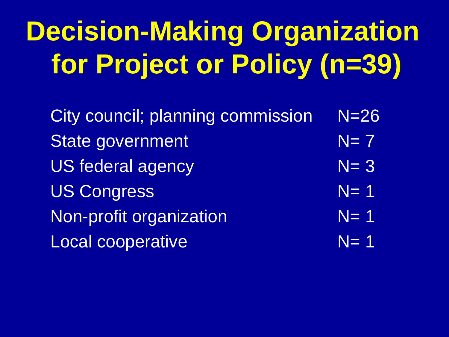# **Decision-Making Organization for Project or Policy (n=39)**

City council; planning commission N=26 State government  $N= 7$  $US$  federal agency  $N= 3$ US Congress N= 1 Non-profit organization  $N= 1$ Local cooperative N= 1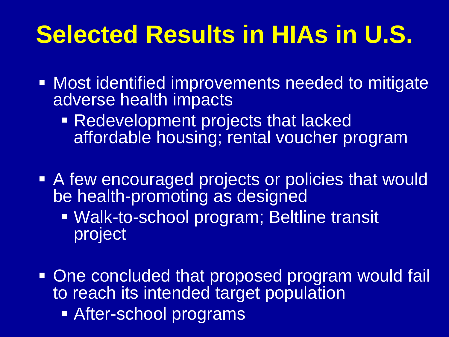### **Selected Results in HIAs in U.S.**

- **Most identified improvements needed to mitigate** adverse health impacts
	- **Redevelopment projects that lacked** affordable housing; rental voucher program
- A few encouraged projects or policies that would be health-promoting as designed
	- Walk-to-school program; Beltline transit project
- **One concluded that proposed program would fail** to reach its intended target population
	- After-school programs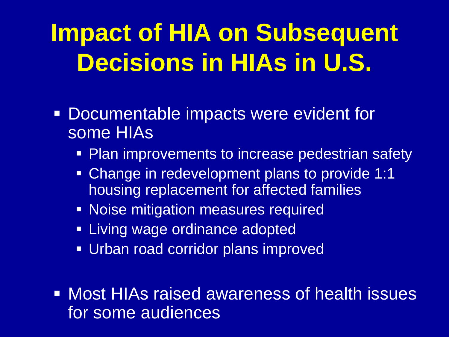## **Impact of HIA on Subsequent Decisions in HIAs in U.S.**

- Documentable impacts were evident for some HIAs
	- Plan improvements to increase pedestrian safety
	- Change in redevelopment plans to provide 1:1 housing replacement for affected families
	- **Noise mitigation measures required**
	- **Example 2** Living wage ordinance adopted
	- Urban road corridor plans improved
- **Most HIAs raised awareness of health issues** for some audiences